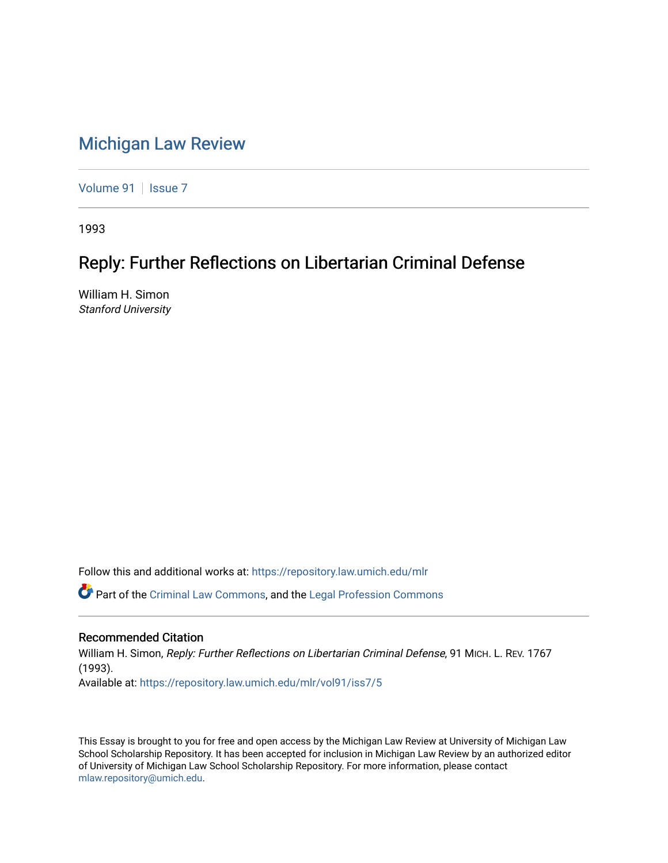## [Michigan Law Review](https://repository.law.umich.edu/mlr)

[Volume 91](https://repository.law.umich.edu/mlr/vol91) | [Issue 7](https://repository.law.umich.edu/mlr/vol91/iss7)

1993

# Reply: Further Reflections on Libertarian Criminal Defense

William H. Simon Stanford University

Follow this and additional works at: [https://repository.law.umich.edu/mlr](https://repository.law.umich.edu/mlr?utm_source=repository.law.umich.edu%2Fmlr%2Fvol91%2Fiss7%2F5&utm_medium=PDF&utm_campaign=PDFCoverPages) 

Part of the [Criminal Law Commons,](http://network.bepress.com/hgg/discipline/912?utm_source=repository.law.umich.edu%2Fmlr%2Fvol91%2Fiss7%2F5&utm_medium=PDF&utm_campaign=PDFCoverPages) and the [Legal Profession Commons](http://network.bepress.com/hgg/discipline/1075?utm_source=repository.law.umich.edu%2Fmlr%2Fvol91%2Fiss7%2F5&utm_medium=PDF&utm_campaign=PDFCoverPages) 

### Recommended Citation

William H. Simon, Reply: Further Reflections on Libertarian Criminal Defense, 91 MICH. L. REV. 1767 (1993). Available at: [https://repository.law.umich.edu/mlr/vol91/iss7/5](https://repository.law.umich.edu/mlr/vol91/iss7/5?utm_source=repository.law.umich.edu%2Fmlr%2Fvol91%2Fiss7%2F5&utm_medium=PDF&utm_campaign=PDFCoverPages)

This Essay is brought to you for free and open access by the Michigan Law Review at University of Michigan Law School Scholarship Repository. It has been accepted for inclusion in Michigan Law Review by an authorized editor of University of Michigan Law School Scholarship Repository. For more information, please contact [mlaw.repository@umich.edu.](mailto:mlaw.repository@umich.edu)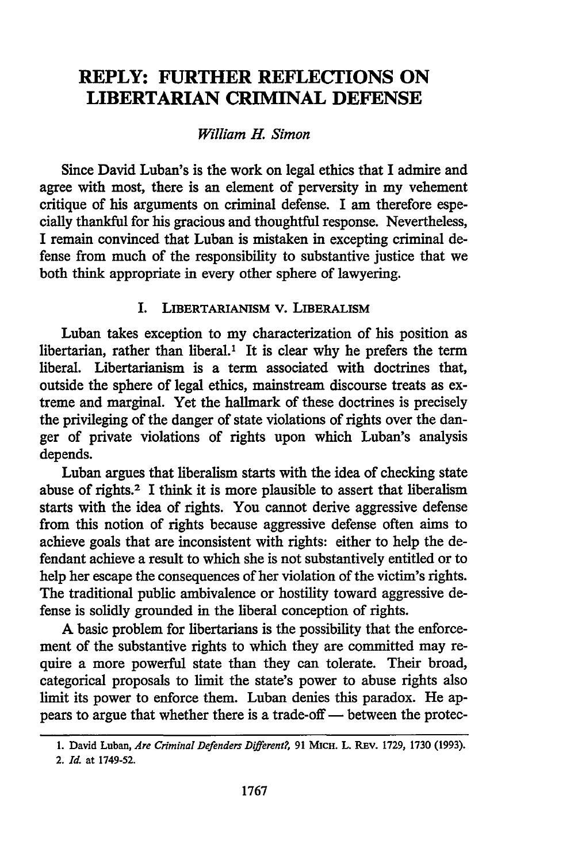## **REPLY: FURTHER REFLECTIONS ON LIBERTARIAN** CRIMINAL **DEFENSE**

### *William H. Simon*

Since David Luban's is the work on legal ethics that I admire and agree with most, there is an element of perversity in my vehement critique of his arguments on criminal defense. I am therefore especially thankful for his gracious and thoughtful response. Nevertheless, I remain convinced that Luban is mistaken in excepting criminal defense from much of the responsibility to substantive justice that we both think appropriate in every other sphere of lawyering.

#### I. LIBERTARIANISM V. LIBERALISM

Luban takes exception to my characterization of his position as libertarian, rather than liberal.<sup>1</sup> It is clear why he prefers the term liberal. Libertarianism is a term associated with doctrines that, outside the sphere of legal ethics, mainstream discourse treats as extreme and marginal. Yet the hallmark of these doctrines is precisely the privileging of the danger of state violations of rights over the danger of private violations of rights upon which Luban's analysis depends.

Luban argues that liberalism starts with the idea of checking state abuse of rights.<sup>2</sup> I think it is more plausible to assert that liberalism starts with the idea of rights. You cannot derive aggressive defense from this notion of rights because aggressive defense often aims to achieve goals that are inconsistent with rights: either to help the defendant achieve a result to which she is not substantively entitled or to help her escape the consequences of her violation of the victim's rights. The traditional public ambivalence or hostility toward aggressive defense is solidly grounded in the liberal conception of rights.

A basic problem for libertarians is the possibility that the enforcement of the substantive rights to which they are committed may require a more powerful state than they can tolerate. Their broad, categorical proposals to limit the state's power to abuse rights also limit its power to enforce them. Luban denies this paradox. He appears to argue that whether there is a trade-off — between the protec-

<sup>1.</sup> David Luban, *Are Criminal Defenders Different?,* 91 MICH. L. REv. 1729, 1730 (1993).

<sup>2.</sup> *Id.* at 1749-52.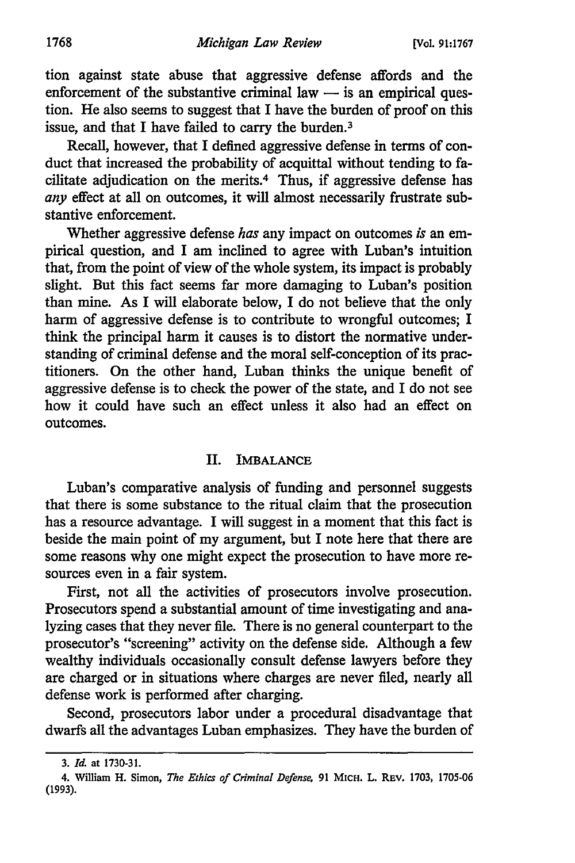tion against state abuse that aggressive defense affords and the enforcement of the substantive criminal law  $-$  is an empirical question. He also seems to suggest that I have the burden of proof on this issue, and that I have failed to carry the burden.<sup>3</sup>

Recall, however, that I defined aggressive defense in terms of conduct that increased the probability of acquittal without tending to facilitate adjudication on the merits.4 Thus, if aggressive defense has any effect at all on outcomes, it will almost necessarily frustrate substantive enforcement.

Whether aggressive defense *has* any impact on outcomes *is* an empirical question, and I am inclined to agree with Luban's intuition that, from the point of view of the whole system, its impact is probably slight. But this fact seems far more damaging to Luban's position than mine. As I will elaborate below, I do not believe that the only harm of aggressive defense is to contribute to wrongful outcomes; I think the principal harm it causes is to distort the normative understanding of criminal defense and the moral self-conception of its practitioners. On the other hand, Luban thinks the unique benefit of aggressive defense is to check the power of the state, and I do not see how it could have such an effect unless it also had an effect on outcomes.

#### II. IMBALANCE

Luban's comparative analysis of funding and personnel suggests that there is some substance to the ritual claim that the prosecution has a resource advantage. I will suggest in a moment that this fact is beside the main point of my argument, but I note here that there are some reasons why one might expect the prosecution to have more resources even in a fair system.

First, not all the activities of prosecutors involve prosecution. Prosecutors spend a substantial amount of time investigating and analyzing cases that they never file. There is no general counterpart to the prosecutor's "screening" activity on the defense side. Although a few wealthy individuals occasionally consult defense lawyers before they are charged or in situations where charges are never filed, nearly all defense work is performed after charging.

Second, prosecutors labor under a procedural disadvantage that dwarfs all the advantages Luban emphasizes. They have the burden of

<sup>3.</sup> *Id.* at 1730-31.

<sup>4.</sup> William H. Simon, *The Ethics of Criminal Defense,* 91 MICH. L. REV. 1703, 1705-06 (1993).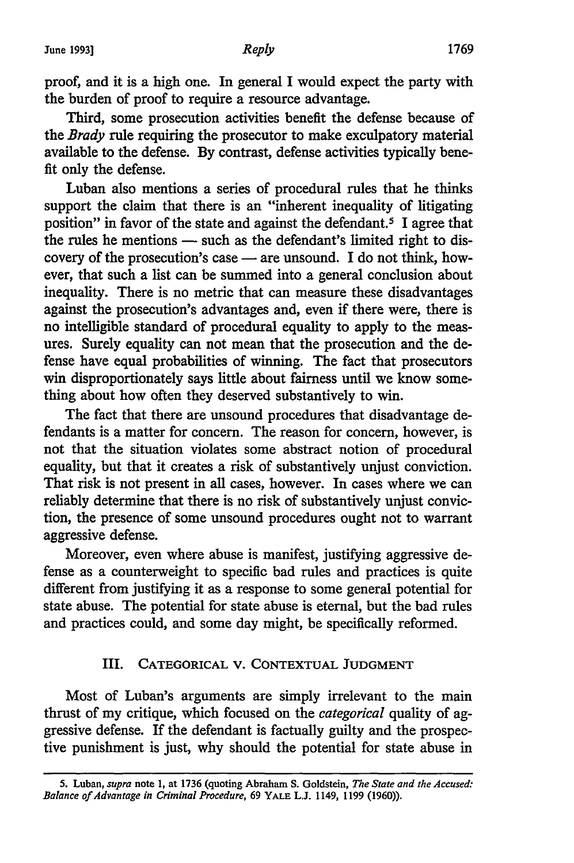proof, and it is a high one. In general I would expect the party with the burden of proof to require a resource advantage.

Third, some prosecution activities benefit the defense because of the *Brady* rule requiring the prosecutor to make exculpatory material available to the defense. By contrast, defense activities typically benefit only the defense.

Luban also mentions a series of procedural rules that he thinks support the claim that there is an "inherent inequality of litigating position" in favor of the state and against the defendant.<sup>5</sup> I agree that the rules he mentions — such as the defendant's limited right to discovery of the prosecution's case  $-$  are unsound. I do not think, however, that such a list can be summed into a general conclusion about inequality. There is no metric that can measure these disadvantages against the prosecution's advantages and, even if there were, there is no intelligible standard of procedural equality to apply to the measures. Surely equality can not mean that the prosecution and the defense have equal probabilities of winning. The fact that prosecutors win disproportionately says little about fairness until we know something about how often they deserved substantively to win.

The fact that there are unsound procedures that disadvantage defendants is a matter for concern. The reason for concern, however, is not that the situation violates some abstract notion of procedural equality, but that it creates a risk of substantively unjust conviction. That risk is not present in all cases, however. In cases where we can reliably determine that there is no risk of substantively unjust conviction, the presence of some unsound procedures ought not to warrant aggressive defense.

Moreover, even where abuse is manifest, justifying aggressive defense as a counterweight to specific bad rules and practices is quite different from justifying it as a response to some general potential for state abuse. The potential for state abuse is eternal, but the bad rules and practices could, and some day might, be specifically reformed.

#### III. CATEGORICAL V. CONTEXTUAL JUDGMENT

Most of Luban's arguments are simply irrelevant to the main thrust of my critique, which focused on the *categorical* quality of aggressive defense. If the defendant is factually guilty and the prospective punishment is just, why should the potential for state abuse in

*<sup>5.</sup>* Luban, *supra* note 1, at 1736 (quoting Abraham S. Goldstein, *The State and the Accused: Balance of Advantage in Criminal Procedure,* 69 YALE L.J. 1149, 1199 (1960)).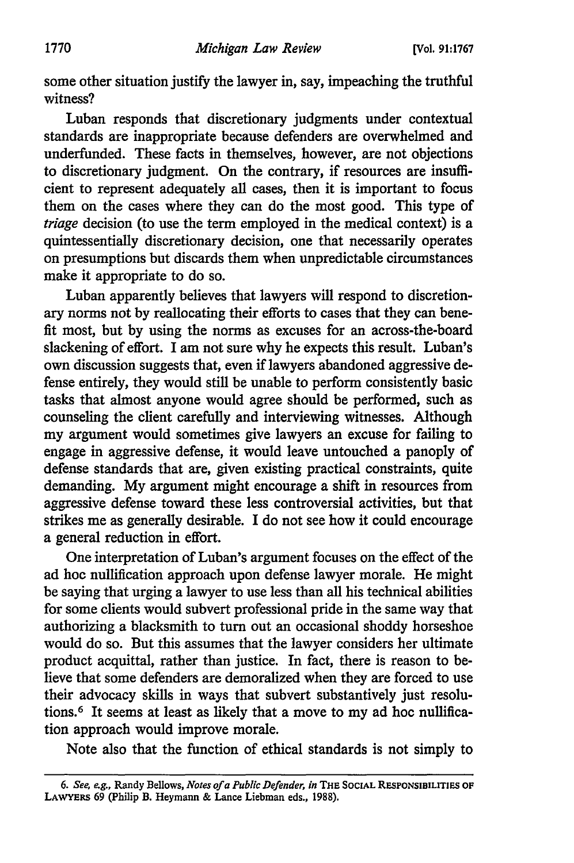some other situation justify the lawyer in, say, impeaching the truthful witness?

Luban responds that discretionary judgments under contextual standards are inappropriate because defenders are overwhelmed and underfunded. These facts in themselves, however, are not objections to discretionary judgment. On the contrary, if resources are insufficient to represent adequately all cases, then it is important to focus them on the cases where they can do the most good. This type of *triage* decision (to use the term employed in the medical context) is a quintessentially discretionary decision, one that necessarily operates on presumptions but discards them when unpredictable circumstances make it appropriate to do so.

Luban apparently believes that lawyers will respond to discretionary norms not by reallocating their efforts to cases that they can benefit most, but by using the norms as excuses for an across-the-board slackening of effort. I am not sure why he expects this result. Luban's own discussion suggests that, even if lawyers abandoned aggressive defense entirely, they would still be unable to perform consistently basic tasks that almost anyone would agree should be performed, such as counseling the client carefully and interviewing witnesses. Although my argument would sometimes give lawyers an excuse for failing to engage in aggressive defense, it would leave untouched a panoply of defense standards that are, given existing practical constraints, quite demanding. My argument might encourage a shift in resources from aggressive defense toward these less controversial activities, but that strikes me as generally desirable. I do not see how it could encourage a general reduction in effort.

One interpretation of Luban's argument focuses on the effect of the ad hoc nullification approach upon defense lawyer morale. He might be saying that urging a lawyer to use less than all his technical abilities for some clients would subvert professional pride in the same way that authorizing a blacksmith to tum out an occasional shoddy horseshoe would do so. But this assumes that the lawyer considers her ultimate product acquittal, rather than justice. In fact, there is reason to believe that some defenders are demoralized when they are forced to use their advocacy skills in ways that subvert substantively just resolutions.<sup>6</sup> It seems at least as likely that a move to my ad hoc nullification approach would improve morale.

Note also that the function of ethical standards is not simply to

<sup>6.</sup> *See, e.g.,* Randy Bellows, *Notes of a Public Defender, in* THE SOCIAL RESPONSIBILITIES OF LAWYERS 69 (Philip B. Heymann & Lance Liebman eds., 1988).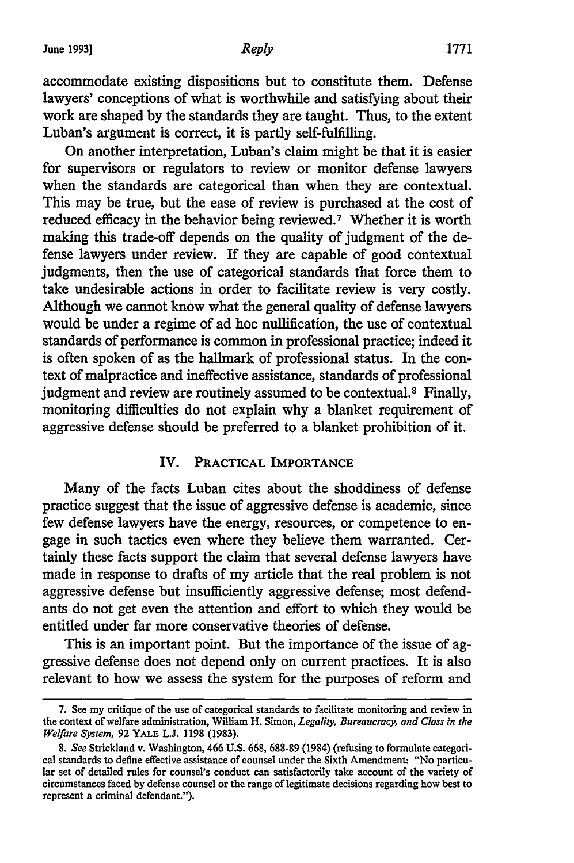accommodate existing dispositions but to constitute them. Defense lawyers' conceptions of what is worthwhile and satisfying about their work are shaped by the standards they are taught. Thus, to the extent Luban's argument is correct, it is partly self-fulfilling.

On another interpretation, Luban's claim might be that it is easier for supervisors or regulators to review or monitor defense lawyers when the standards are categorical than when they are contextual. This may be true, but the ease of review is purchased at the cost of reduced efficacy in the behavior being reviewed.<sup>7</sup> Whether it is worth making this trade-off depends on the quality of judgment of the defense lawyers under review. If they are capable of good contextual judgments, then the use of categorical standards that force them to take undesirable actions in order to facilitate review is very costly. Although we cannot know what the general quality of defense lawyers would be under a regime of ad hoc nullification, the use of contextual standards of performance is common in professional practice; indeed it is often spoken of as the hallmark of professional status. In the context of malpractice and ineffective assistance, standards of professional judgment and review are routinely assumed to be contextual.<sup>8</sup> Finally, monitoring difficulties do not explain why a blanket requirement of aggressive defense should be preferred to a blanket prohibition of it.

#### IV. PRACTICAL IMPORTANCE

Many of the facts Luban cites about the shoddiness of defense practice suggest that the issue of aggressive defense is academic, since few defense lawyers have the energy, resources, or competence to engage in such tactics even where they believe them warranted. Certainly these facts support the claim that several defense lawyers have made in response to drafts of my article that the real problem is not aggressive defense but insufficiently aggressive defense; most defendants do not get even the attention and effort to which they would be entitled under far more conservative theories of defense.

This is an important point. But the importance of the issue of aggressive defense does not depend only on current practices. It is also relevant to how we assess the system for the purposes of reform and

<sup>7.</sup> See my critique of the use of categorical standards to facilitate monitoring and review in the context of welfare administration, William H. Simon, *Legality, Bureaucracy, and Class in the Welfare System,* 92 YALE L.J. 1198 (1983).

<sup>8.</sup> *See* Strickland v. Washington, 466 U.S. 668, 688-89 (1984) (refusing to formulate categorical standards to define effective assistance of counsel under the Sixth Amendment: "No particular set of detailed rules for counsel's conduct can satisfactorily take account of the variety of circumstances faced by defense counsel or the range of legitimate decisions regarding how best to represent a criminal defendant.").